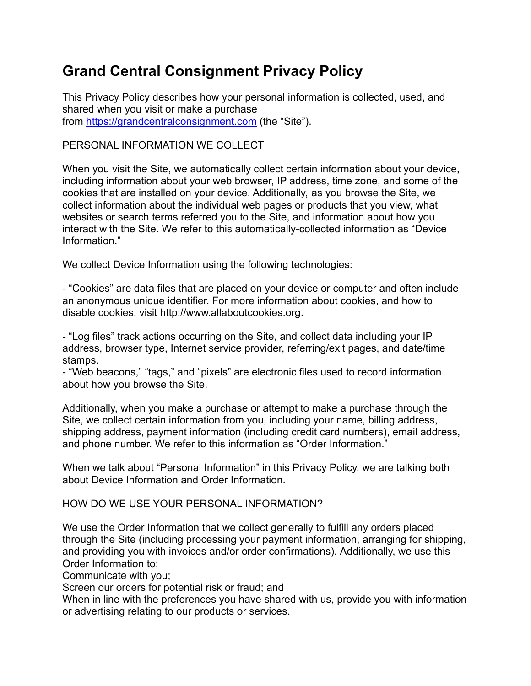# **Grand Central Consignment Privacy Policy**

This Privacy Policy describes how your personal information is collected, used, and shared when you visit or make a purchase from [https://grandcentralconsignment.com](https://grandcentralconsignment/) (the "Site").

# PERSONAL INFORMATION WE COLLECT

When you visit the Site, we automatically collect certain information about your device, including information about your web browser, IP address, time zone, and some of the cookies that are installed on your device. Additionally, as you browse the Site, we collect information about the individual web pages or products that you view, what websites or search terms referred you to the Site, and information about how you interact with the Site. We refer to this automatically-collected information as "Device Information."

We collect Device Information using the following technologies:

- "Cookies" are data files that are placed on your device or computer and often include an anonymous unique identifier. For more information about cookies, and how to disable cookies, visit http://www.allaboutcookies.org.

- "Log files" track actions occurring on the Site, and collect data including your IP address, browser type, Internet service provider, referring/exit pages, and date/time stamps.

- "Web beacons," "tags," and "pixels" are electronic files used to record information about how you browse the Site.

Additionally, when you make a purchase or attempt to make a purchase through the Site, we collect certain information from you, including your name, billing address, shipping address, payment information (including credit card numbers), email address, and phone number. We refer to this information as "Order Information."

When we talk about "Personal Information" in this Privacy Policy, we are talking both about Device Information and Order Information.

# HOW DO WE USE YOUR PERSONAL INFORMATION?

We use the Order Information that we collect generally to fulfill any orders placed through the Site (including processing your payment information, arranging for shipping, and providing you with invoices and/or order confirmations). Additionally, we use this Order Information to:

Communicate with you;

Screen our orders for potential risk or fraud; and

When in line with the preferences you have shared with us, provide you with information or advertising relating to our products or services.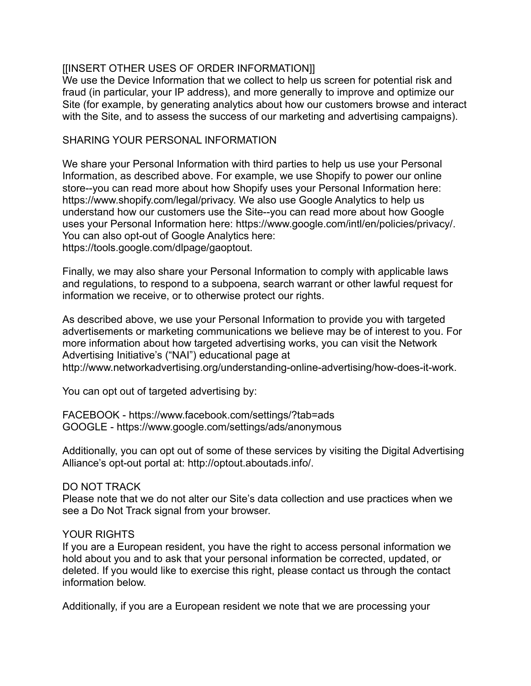# [[INSERT OTHER USES OF ORDER INFORMATION]]

We use the Device Information that we collect to help us screen for potential risk and fraud (in particular, your IP address), and more generally to improve and optimize our Site (for example, by generating analytics about how our customers browse and interact with the Site, and to assess the success of our marketing and advertising campaigns).

## SHARING YOUR PERSONAL INFORMATION

We share your Personal Information with third parties to help us use your Personal Information, as described above. For example, we use Shopify to power our online store--you can read more about how Shopify uses your Personal Information here: https://www.shopify.com/legal/privacy. We also use Google Analytics to help us understand how our customers use the Site--you can read more about how Google uses your Personal Information here: https://www.google.com/intl/en/policies/privacy/. You can also opt-out of Google Analytics here: https://tools.google.com/dlpage/gaoptout.

Finally, we may also share your Personal Information to comply with applicable laws and regulations, to respond to a subpoena, search warrant or other lawful request for information we receive, or to otherwise protect our rights.

As described above, we use your Personal Information to provide you with targeted advertisements or marketing communications we believe may be of interest to you. For more information about how targeted advertising works, you can visit the Network Advertising Initiative's ("NAI") educational page at http://www.networkadvertising.org/understanding-online-advertising/how-does-it-work.

You can opt out of targeted advertising by:

FACEBOOK - https://www.facebook.com/settings/?tab=ads GOOGLE - https://www.google.com/settings/ads/anonymous

Additionally, you can opt out of some of these services by visiting the Digital Advertising Alliance's opt-out portal at: http://optout.aboutads.info/.

#### DO NOT TRACK

Please note that we do not alter our Site's data collection and use practices when we see a Do Not Track signal from your browser.

#### YOUR RIGHTS

If you are a European resident, you have the right to access personal information we hold about you and to ask that your personal information be corrected, updated, or deleted. If you would like to exercise this right, please contact us through the contact information below.

Additionally, if you are a European resident we note that we are processing your